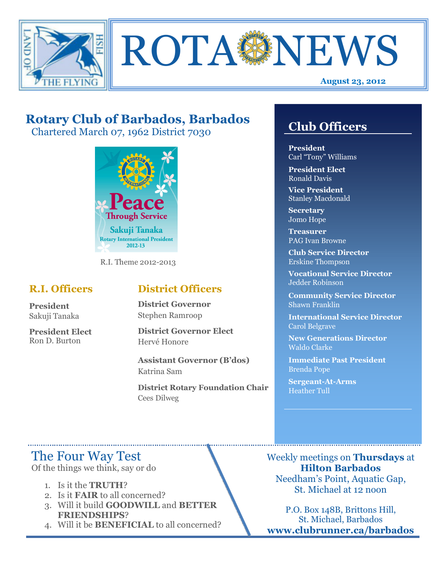



# **Rotary Club of Barbados, Barbados**

Chartered March 07, 1962 District 7030



R.I. Theme 2012-2013

## **R.I. Officers**

**President**  Sakuji Tanaka

**President Elect**  Ron D. Burton

## **District Officers**

**District Governor**  Stephen Ramroop

**District Governor Elect**  Hervé Honore

**Assistant Governor (B'dos)**  Katrina Sam

**District Rotary Foundation Chair**  Cees Dilweg

# **Club Officers**

**Club Officers**

**President**  Carl "Tony" Williams

**President Elect**  Ronald Davis

**Vice President**  Stanley Macdonald

**Secretary**  Jomo Hope

**Treasurer**  PAG Ivan Browne

**Club Service Director**  Erskine Thompson

**Vocational Service Director**  Jedder Robinson

**Community Service Director**  Shawn Franklin

**International Service Director**  Carol Belgrave

**New Generations Director**  Waldo Clarke

**Immediate Past President**  Brenda Pope

**Sergeant-At-Arms**  Heather Tull

# The Four Way Test

Of the things we think, say or do

- 1. Is it the **TRUTH**?
- 2. Is it **FAIR** to all concerned?
- 3. Will it build **GOODWILL** and **BETTER FRIENDSHIPS**?
- 4. Will it be **BENEFICIAL** to all concerned?

Weekly meetings on **Thursdays** at **Hilton Barbados**  Needham's Point, Aquatic Gap, St. Michael at 12 noon

P.O. Box 148B, Brittons Hill, St. Michael, Barbados **www.clubrunner.ca/barbados**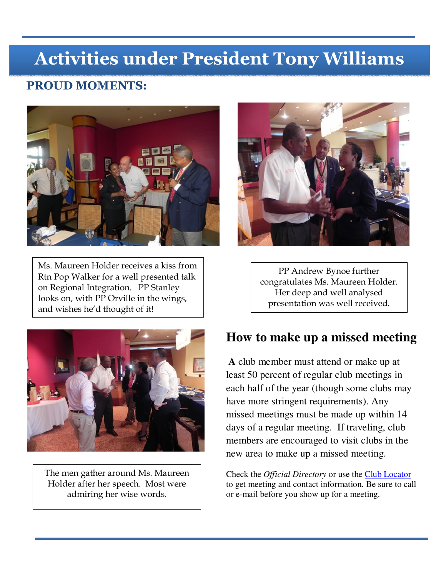# **Activities under President Tony Williams**

## **PROUD MOMENTS:**



Ms. Maureen Holder receives a kiss from Rtn Pop Walker for a well presented talk on Regional Integration. PP Stanley looks on, with PP Orville in the wings, and wishes he'd thought of it!



The men gather around Ms. Maureen Holder after her speech. Most were admiring her wise words.



PP Andrew Bynoe further congratulates Ms. Maureen Holder. Her deep and well analysed presentation was well received.

# **How to make up a missed meeting**

**A** club member must attend or make up at least 50 percent of regular club meetings in each half of the year (though some clubs may have more stringent requirements). Any missed meetings must be made up within 14 days of a regular meeting. If traveling, club members are encouraged to visit clubs in the new area to make up a missed meeting.

Check the *Official Directory* or use the Club Locator to get meeting and contact information. Be sure to call or e-mail before you show up for a meeting.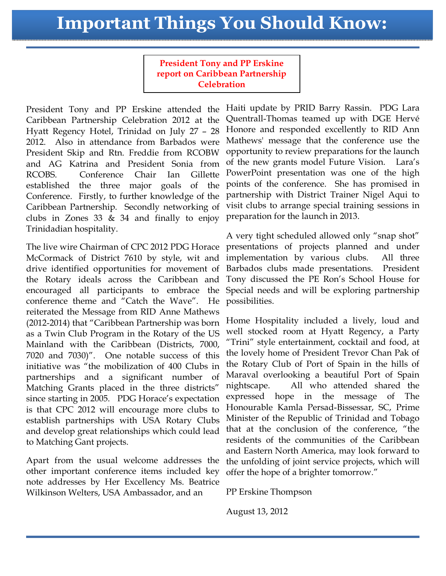# **Important Things You Should Know:**

**President Tony and PP Erskine report on Caribbean Partnership Celebration** 

President Tony and PP Erskine attended the Caribbean Partnership Celebration 2012 at the Hyatt Regency Hotel, Trinidad on July 27 – 28 2012. Also in attendance from Barbados were President Skip and Rtn. Freddie from RCOBW and AG Katrina and President Sonia from RCOBS. Conference Chair Ian Gillette established the three major goals of the Conference. Firstly, to further knowledge of the Caribbean Partnership. Secondly networking of clubs in Zones 33  $\&$  34 and finally to enjoy Trinidadian hospitality.

The live wire Chairman of CPC 2012 PDG Horace McCormack of District 7610 by style, wit and drive identified opportunities for movement of the Rotary ideals across the Caribbean and encouraged all participants to embrace the conference theme and "Catch the Wave". He reiterated the Message from RID Anne Mathews (2012-2014) that "Caribbean Partnership was born as a Twin Club Program in the Rotary of the US Mainland with the Caribbean (Districts, 7000, 7020 and 7030)". One notable success of this initiative was "the mobilization of 400 Clubs in partnerships and a significant number of Matching Grants placed in the three districts" since starting in 2005. PDG Horace's expectation is that CPC 2012 will encourage more clubs to establish partnerships with USA Rotary Clubs and develop great relationships which could lead to Matching Gant projects.

Apart from the usual welcome addresses the other important conference items included key note addresses by Her Excellency Ms. Beatrice Wilkinson Welters, USA Ambassador, and an

Haiti update by PRID Barry Rassin. PDG Lara Quentrall-Thomas teamed up with DGE Hervé Honore and responded excellently to RID Ann Mathews' message that the conference use the opportunity to review preparations for the launch of the new grants model Future Vision. Lara's PowerPoint presentation was one of the high points of the conference. She has promised in partnership with District Trainer Nigel Aqui to visit clubs to arrange special training sessions in preparation for the launch in 2013.

A very tight scheduled allowed only "snap shot" presentations of projects planned and under implementation by various clubs. All three Barbados clubs made presentations. President Tony discussed the PE Ron's School House for Special needs and will be exploring partnership possibilities.

Home Hospitality included a lively, loud and well stocked room at Hyatt Regency, a Party "Trini" style entertainment, cocktail and food, at the lovely home of President Trevor Chan Pak of the Rotary Club of Port of Spain in the hills of Maraval overlooking a beautiful Port of Spain nightscape. All who attended shared the expressed hope in the message of The Honourable Kamla Persad-Bissessar, SC, Prime Minister of the Republic of Trinidad and Tobago that at the conclusion of the conference, "the residents of the communities of the Caribbean and Eastern North America, may look forward to the unfolding of joint service projects, which will offer the hope of a brighter tomorrow."

PP Erskine Thompson

August 13, 2012